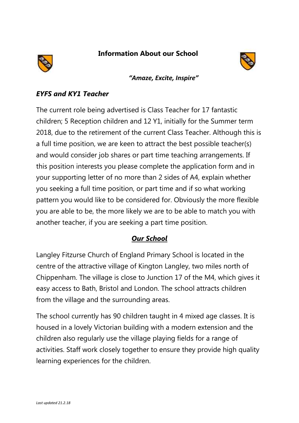**Information About our School** 



*"Amaze, Excite, Inspire"*

## *EYFS and KY1 Teacher*

The current role being advertised is Class Teacher for 17 fantastic children; 5 Reception children and 12 Y1, initially for the Summer term 2018, due to the retirement of the current Class Teacher. Although this is a full time position, we are keen to attract the best possible teacher(s) and would consider job shares or part time teaching arrangements. If this position interests you please complete the application form and in your supporting letter of no more than 2 sides of A4, explain whether you seeking a full time position, or part time and if so what working pattern you would like to be considered for. Obviously the more flexible you are able to be, the more likely we are to be able to match you with another teacher, if you are seeking a part time position.

## *Our School*

Langley Fitzurse Church of England Primary School is located in the centre of the attractive village of Kington Langley, two miles north of Chippenham. The village is close to Junction 17 of the M4, which gives it easy access to Bath, Bristol and London. The school attracts children from the village and the surrounding areas.

The school currently has 90 children taught in 4 mixed age classes. It is housed in a lovely Victorian building with a modern extension and the children also regularly use the village playing fields for a range of activities. Staff work closely together to ensure they provide high quality learning experiences for the children.